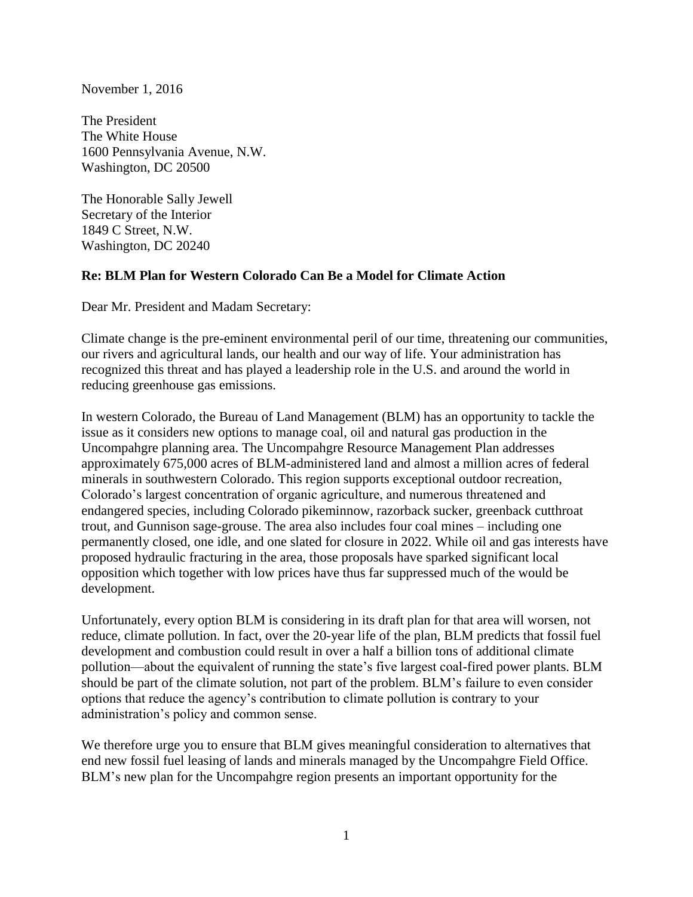November 1, 2016

The President The White House 1600 Pennsylvania Avenue, N.W. Washington, DC 20500

The Honorable Sally Jewell Secretary of the Interior 1849 C Street, N.W. Washington, DC 20240

## **Re: BLM Plan for Western Colorado Can Be a Model for Climate Action**

Dear Mr. President and Madam Secretary:

Climate change is the pre-eminent environmental peril of our time, threatening our communities, our rivers and agricultural lands, our health and our way of life. Your administration has recognized this threat and has played a leadership role in the U.S. and around the world in reducing greenhouse gas emissions.

In western Colorado, the Bureau of Land Management (BLM) has an opportunity to tackle the issue as it considers new options to manage coal, oil and natural gas production in the Uncompahgre planning area. The Uncompahgre Resource Management Plan addresses approximately 675,000 acres of BLM-administered land and almost a million acres of federal minerals in southwestern Colorado. This region supports exceptional outdoor recreation, Colorado's largest concentration of organic agriculture, and numerous threatened and endangered species, including Colorado pikeminnow, razorback sucker, greenback cutthroat trout, and Gunnison sage-grouse. The area also includes four coal mines – including one permanently closed, one idle, and one slated for closure in 2022. While oil and gas interests have proposed hydraulic fracturing in the area, those proposals have sparked significant local opposition which together with low prices have thus far suppressed much of the would be development.

Unfortunately, every option BLM is considering in its draft plan for that area will worsen, not reduce, climate pollution. In fact, over the 20-year life of the plan, BLM predicts that fossil fuel development and combustion could result in over a half a billion tons of additional climate pollution—about the equivalent of running the state's five largest coal-fired power plants. BLM should be part of the climate solution, not part of the problem. BLM's failure to even consider options that reduce the agency's contribution to climate pollution is contrary to your administration's policy and common sense.

We therefore urge you to ensure that BLM gives meaningful consideration to alternatives that end new fossil fuel leasing of lands and minerals managed by the Uncompahgre Field Office. BLM's new plan for the Uncompahgre region presents an important opportunity for the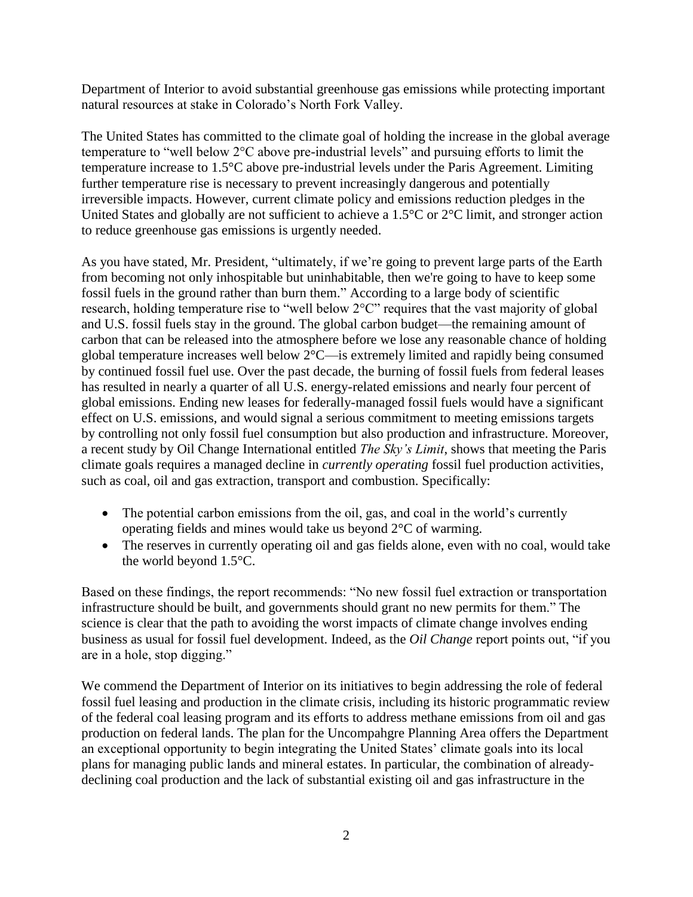Department of Interior to avoid substantial greenhouse gas emissions while protecting important natural resources at stake in Colorado's North Fork Valley.

The United States has committed to the climate goal of holding the increase in the global average temperature to "well below 2°C above pre-industrial levels" and pursuing efforts to limit the temperature increase to 1.5°C above pre-industrial levels under the Paris Agreement. Limiting further temperature rise is necessary to prevent increasingly dangerous and potentially irreversible impacts. However, current climate policy and emissions reduction pledges in the United States and globally are not sufficient to achieve a 1.5°C or 2°C limit, and stronger action to reduce greenhouse gas emissions is urgently needed.

As you have stated, Mr. President, "ultimately, if we're going to prevent large parts of the Earth from becoming not only inhospitable but uninhabitable, then we're going to have to keep some fossil fuels in the ground rather than burn them." According to a large body of scientific research, holding temperature rise to "well below 2°C" requires that the vast majority of global and U.S. fossil fuels stay in the ground. The global carbon budget—the remaining amount of carbon that can be released into the atmosphere before we lose any reasonable chance of holding global temperature increases well below 2°C—is extremely limited and rapidly being consumed by continued fossil fuel use. Over the past decade, the burning of fossil fuels from federal leases has resulted in nearly a quarter of all U.S. energy-related emissions and nearly four percent of global emissions. Ending new leases for federally-managed fossil fuels would have a significant effect on U.S. emissions, and would signal a serious commitment to meeting emissions targets by controlling not only fossil fuel consumption but also production and infrastructure. Moreover, a recent study by Oil Change International entitled *The Sky's Limit*, shows that meeting the Paris climate goals requires a managed decline in *currently operating* fossil fuel production activities, such as coal, oil and gas extraction, transport and combustion. Specifically:

- The potential carbon emissions from the oil, gas, and coal in the world's currently operating fields and mines would take us beyond 2°C of warming.
- The reserves in currently operating oil and gas fields alone, even with no coal, would take the world beyond 1.5°C.

Based on these findings, the report recommends: "No new fossil fuel extraction or transportation infrastructure should be built, and governments should grant no new permits for them." The science is clear that the path to avoiding the worst impacts of climate change involves ending business as usual for fossil fuel development. Indeed, as the *Oil Change* report points out, "if you are in a hole, stop digging."

We commend the Department of Interior on its initiatives to begin addressing the role of federal fossil fuel leasing and production in the climate crisis, including its historic programmatic review of the federal coal leasing program and its efforts to address methane emissions from oil and gas production on federal lands. The plan for the Uncompahgre Planning Area offers the Department an exceptional opportunity to begin integrating the United States' climate goals into its local plans for managing public lands and mineral estates. In particular, the combination of alreadydeclining coal production and the lack of substantial existing oil and gas infrastructure in the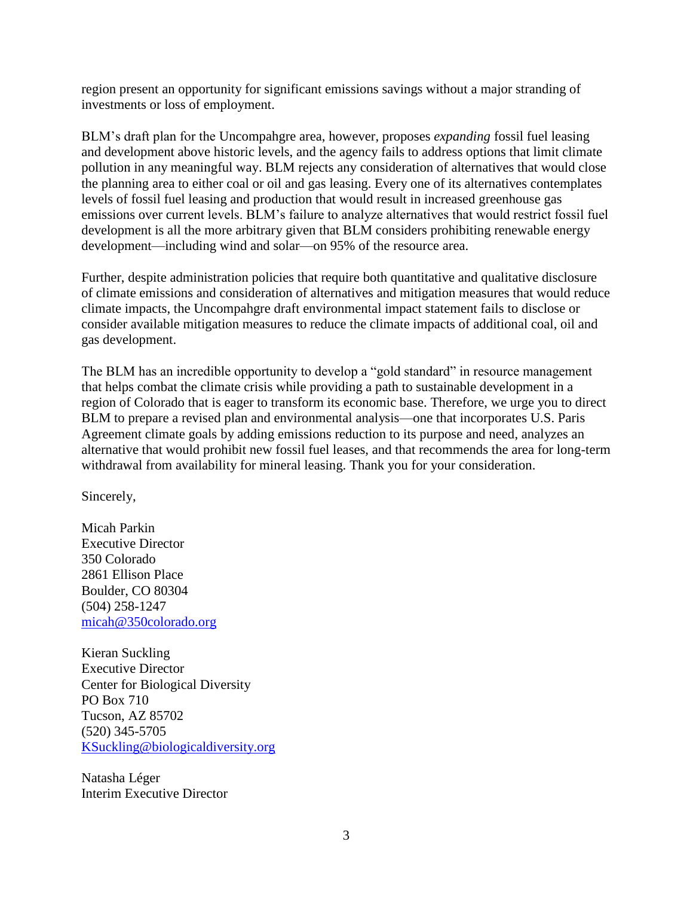region present an opportunity for significant emissions savings without a major stranding of investments or loss of employment.

BLM's draft plan for the Uncompahgre area, however, proposes *expanding* fossil fuel leasing and development above historic levels, and the agency fails to address options that limit climate pollution in any meaningful way. BLM rejects any consideration of alternatives that would close the planning area to either coal or oil and gas leasing. Every one of its alternatives contemplates levels of fossil fuel leasing and production that would result in increased greenhouse gas emissions over current levels. BLM's failure to analyze alternatives that would restrict fossil fuel development is all the more arbitrary given that BLM considers prohibiting renewable energy development—including wind and solar—on 95% of the resource area.

Further, despite administration policies that require both quantitative and qualitative disclosure of climate emissions and consideration of alternatives and mitigation measures that would reduce climate impacts, the Uncompahgre draft environmental impact statement fails to disclose or consider available mitigation measures to reduce the climate impacts of additional coal, oil and gas development.

The BLM has an incredible opportunity to develop a "gold standard" in resource management that helps combat the climate crisis while providing a path to sustainable development in a region of Colorado that is eager to transform its economic base. Therefore, we urge you to direct BLM to prepare a revised plan and environmental analysis—one that incorporates U.S. Paris Agreement climate goals by adding emissions reduction to its purpose and need, analyzes an alternative that would prohibit new fossil fuel leases, and that recommends the area for long-term withdrawal from availability for mineral leasing. Thank you for your consideration.

Sincerely,

Micah Parkin Executive Director 350 Colorado 2861 Ellison Place Boulder, CO 80304 (504) 258-1247 [micah@350colorado.org](mailto:micah@350colorado.org)

Kieran Suckling Executive Director Center for Biological Diversity PO Box 710 Tucson, AZ 85702 (520) 345-5705 [KSuckling@biologicaldiversity.org](mailto:KSuckling@biologicaldiversity.org)

Natasha Léger Interim Executive Director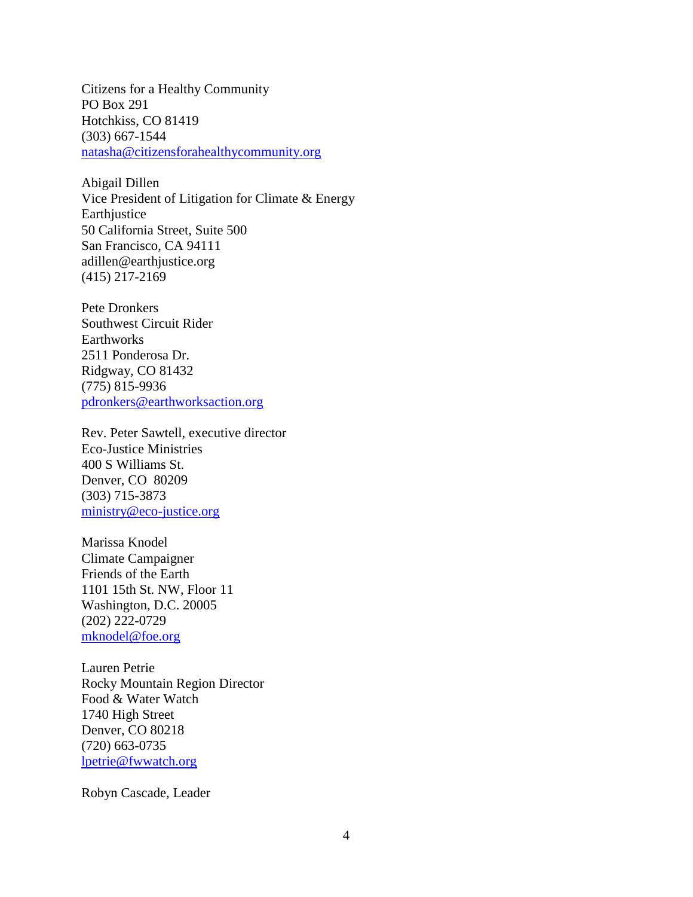Citizens for a Healthy Community PO Box 291 Hotchkiss, CO 81419 (303) 667-1544 [natasha@citizensforahealthycommunity.org](mailto:natasha@citizensforahealthycommunity.org)

Abigail Dillen Vice President of Litigation for Climate & Energy Earthjustice 50 California Street, Suite 500 San Francisco, CA 94111 adillen@earthjustice.org (415) 217-2169

Pete Dronkers Southwest Circuit Rider **Earthworks** 2511 Ponderosa Dr. Ridgway, CO 81432 (775) 815-9936 [pdronkers@earthworksaction.org](mailto:pdronkers@earthworksaction.org)

Rev. Peter Sawtell, executive director Eco-Justice Ministries 400 S Williams St. Denver, CO 80209 (303) 715-3873 [ministry@eco-justice.org](mailto:ministry@eco-justice.org)

Marissa Knodel Climate Campaigner Friends of the Earth 1101 15th St. NW, Floor 11 Washington, D.C. 20005 (202) 222-0729 [mknodel@foe.org](mailto:mknodel@foe.org)

Lauren Petrie Rocky Mountain Region Director Food & Water Watch 1740 High Street Denver, CO 80218 (720) 663-0735 [lpetrie@fwwatch.org](mailto:lpetrie@fwwatch.org)

Robyn Cascade, Leader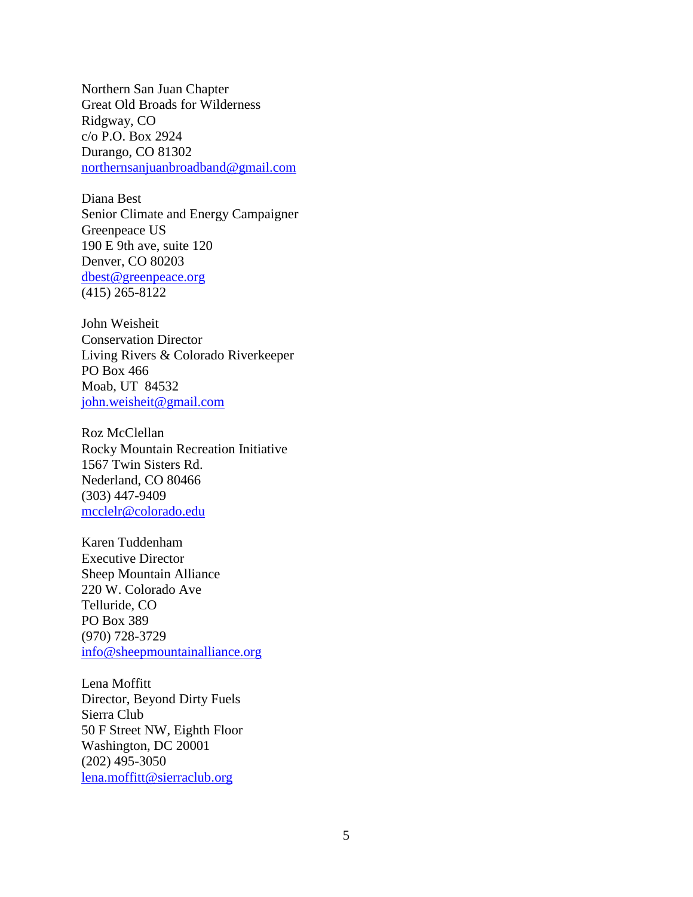Northern San Juan Chapter Great Old Broads for Wilderness Ridgway, CO c/o P.O. Box 2924 Durango, CO 81302 [northernsanjuanbroadband@gmail.com](mailto:northernsanjuanbroadband@gmail.com)

Diana Best Senior Climate and Energy Campaigner Greenpeace US 190 E 9th ave, suite 120 Denver, CO 80203 [dbest@greenpeace.org](mailto:dbest@greenpeace.org) (415) 265-8122

John Weisheit Conservation Director Living Rivers & Colorado Riverkeeper PO Box 466 Moab, UT 84532 [john.weisheit@gmail.com](mailto:john.weisheit@gmail.com)

Roz McClellan Rocky Mountain Recreation Initiative 1567 Twin Sisters Rd. Nederland, CO 80466 (303) 447-9409 [mcclelr@colorado.edu](mailto:mcclelr@colorado.edu)

Karen Tuddenham Executive Director Sheep Mountain Alliance 220 W. Colorado Ave Telluride, CO PO Box 389 (970) 728-3729 [info@sheepmountainalliance.org](mailto:info@sheepmountainalliance.org)

Lena Moffitt Director, Beyond Dirty Fuels Sierra Club 50 F Street NW, Eighth Floor Washington, DC 20001 (202) 495-3050 [lena.moffitt@sierraclub.org](mailto:lena.moffitt@sierraclub.org)